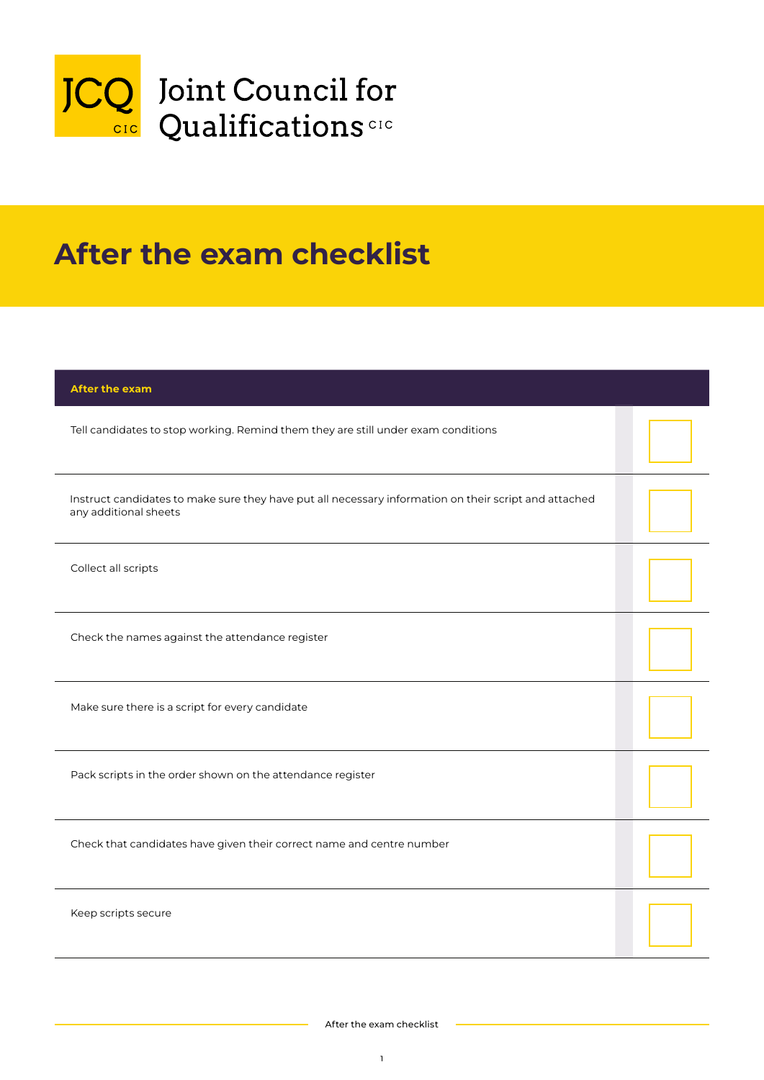

## After the exam checklist

| <b>After the exam</b>                                                                                                          |  |
|--------------------------------------------------------------------------------------------------------------------------------|--|
| Tell candidates to stop working. Remind them they are still under exam conditions                                              |  |
| Instruct candidates to make sure they have put all necessary information on their script and attached<br>any additional sheets |  |
| Collect all scripts                                                                                                            |  |
| Check the names against the attendance register                                                                                |  |
| Make sure there is a script for every candidate                                                                                |  |
| Pack scripts in the order shown on the attendance register                                                                     |  |
| Check that candidates have given their correct name and centre number                                                          |  |
| Keep scripts secure                                                                                                            |  |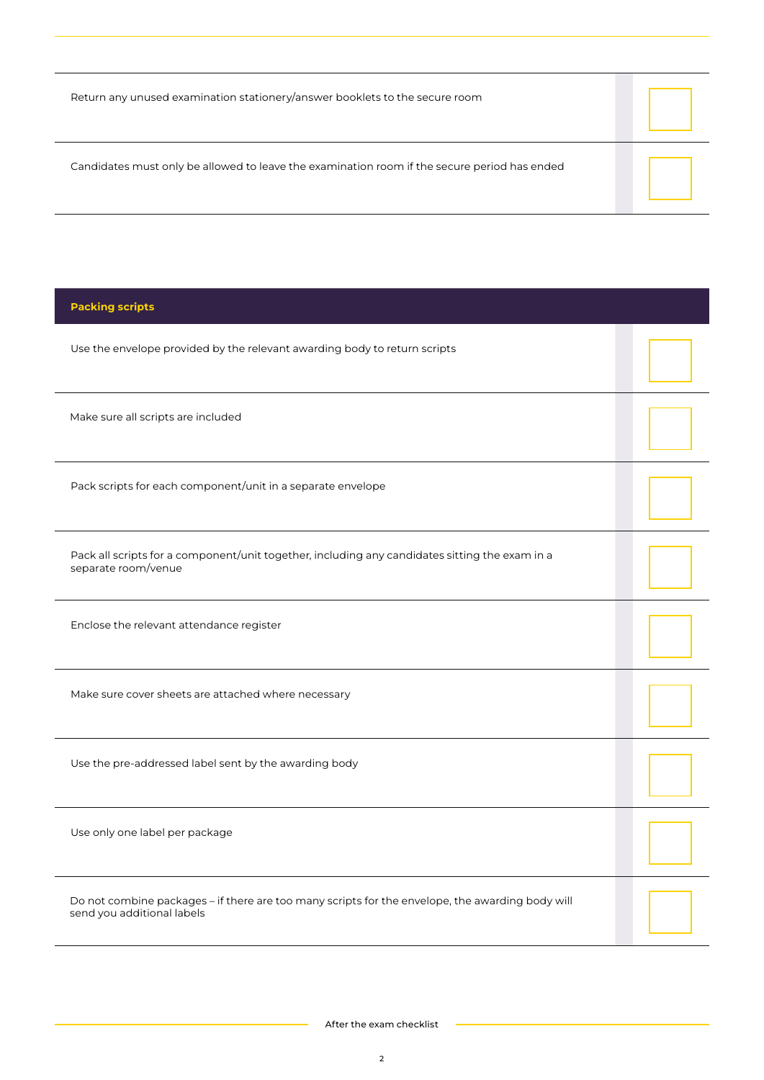|  | Return any unused examination stationery/answer booklets to the secure room |
|--|-----------------------------------------------------------------------------|
|  |                                                                             |

Candidates must only be allowed to leave the examination room if the secure period has ended

Packing scripts

| Use the envelope provided by the relevant awarding body to return scripts                                                      |  |
|--------------------------------------------------------------------------------------------------------------------------------|--|
| Make sure all scripts are included                                                                                             |  |
| Pack scripts for each component/unit in a separate envelope                                                                    |  |
| Pack all scripts for a component/unit together, including any candidates sitting the exam in a<br>separate room/venue          |  |
| Enclose the relevant attendance register                                                                                       |  |
| Make sure cover sheets are attached where necessary                                                                            |  |
| Use the pre-addressed label sent by the awarding body                                                                          |  |
| Use only one label per package                                                                                                 |  |
| Do not combine packages - if there are too many scripts for the envelope, the awarding body will<br>send you additional labels |  |